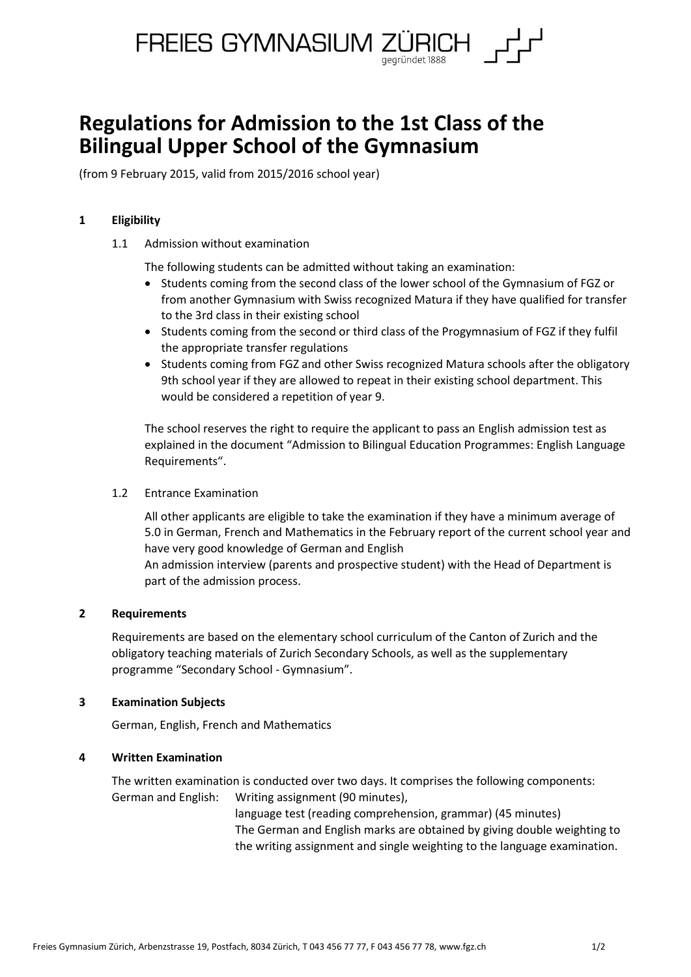

# **Regulations for Admission to the 1st Class of the Bilingual Upper School of the Gymnasium**

(from 9 February 2015, valid from 2015/2016 school year)

## **1 Eligibility**

1.1 Admission without examination

The following students can be admitted without taking an examination:

- Students coming from the second class of the lower school of the Gymnasium of FGZ or from another Gymnasium with Swiss recognized Matura if they have qualified for transfer to the 3rd class in their existing school
- Students coming from the second or third class of the Progymnasium of FGZ if they fulfil the appropriate transfer regulations
- Students coming from FGZ and other Swiss recognized Matura schools after the obligatory 9th school year if they are allowed to repeat in their existing school department. This would be considered a repetition of year 9.

The school reserves the right to require the applicant to pass an English admission test as explained in the document "Admission to Bilingual Education Programmes: English Language Requirements".

## 1.2 Entrance Examination

All other applicants are eligible to take the examination if they have a minimum average of 5.0 in German, French and Mathematics in the February report of the current school year and have very good knowledge of German and English

An admission interview (parents and prospective student) with the Head of Department is part of the admission process.

## **2 Requirements**

Requirements are based on the elementary school curriculum of the Canton of Zurich and the obligatory teaching materials of Zurich Secondary Schools, as well as the supplementary programme "Secondary School - Gymnasium".

## **3 Examination Subjects**

German, English, French and Mathematics

## **4 Written Examination**

The written examination is conducted over two days. It comprises the following components: German and English: Writing assignment (90 minutes),

> language test (reading comprehension, grammar) (45 minutes) The German and English marks are obtained by giving double weighting to the writing assignment and single weighting to the language examination.